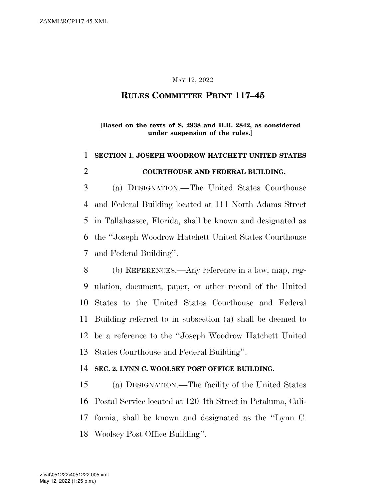### MAY 12, 2022

# **RULES COMMITTEE PRINT 117–45**

#### **[Based on the texts of S. 2938 and H.R. 2842, as considered under suspension of the rules.]**

# **SECTION 1. JOSEPH WOODROW HATCHETT UNITED STATES COURTHOUSE AND FEDERAL BUILDING.**  (a) DESIGNATION.—The United States Courthouse and Federal Building located at 111 North Adams Street in Tallahassee, Florida, shall be known and designated as the ''Joseph Woodrow Hatchett United States Courthouse and Federal Building''.

 (b) REFERENCES.—Any reference in a law, map, reg- ulation, document, paper, or other record of the United States to the United States Courthouse and Federal Building referred to in subsection (a) shall be deemed to be a reference to the ''Joseph Woodrow Hatchett United States Courthouse and Federal Building''.

# **SEC. 2. LYNN C. WOOLSEY POST OFFICE BUILDING.**

 (a) DESIGNATION.—The facility of the United States Postal Service located at 120 4th Street in Petaluma, Cali- fornia, shall be known and designated as the ''Lynn C. Woolsey Post Office Building''.